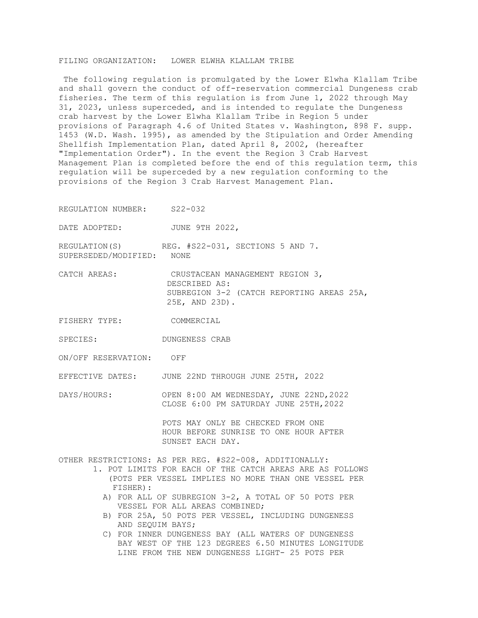## FILING ORGANIZATION: LOWER ELWHA KLALLAM TRIBE

The following regulation is promulgated by the Lower Elwha Klallam Tribe and shall govern the conduct of off-reservation commercial Dungeness crab fisheries. The term of this regulation is from June 1, 2022 through May 31, 2023, unless superceded, and is intended to regulate the Dungeness crab harvest by the Lower Elwha Klallam Tribe in Region 5 under provisions of Paragraph 4.6 of United States v. Washington, 898 F. supp. 1453 (W.D. Wash. 1995), as amended by the Stipulation and Order Amending Shellfish Implementation Plan, dated April 8, 2002, (hereafter "Implementation Order"). In the event the Region 3 Crab Harvest Management Plan is completed before the end of this regulation term, this regulation will be superceded by a new regulation conforming to the provisions of the Region 3 Crab Harvest Management Plan.

REGULATION NUMBER: S22-032

DATE ADOPTED: JUNE 9TH 2022,

REGULATION(S) REG. #S22-031, SECTIONS 5 AND 7. SUPERSEDED/MODIFIED: NONE

- CATCH AREAS: CRUSTACEAN MANAGEMENT REGION 3, DESCRIBED AS: SUBREGION 3-2 (CATCH REPORTING AREAS 25A, 25E, AND 23D).
- FISHERY TYPE: COMMERCIAL
- SPECIES: DUNGENESS CRAB

ON/OFF RESERVATION: OFF

EFFECTIVE DATES: JUNE 22ND THROUGH JUNE 25TH, 2022

DAYS/HOURS: OPEN 8:00 AM WEDNESDAY, JUNE 22ND, 2022 CLOSE 6:00 PM SATURDAY JUNE 25TH,2022

> POTS MAY ONLY BE CHECKED FROM ONE HOUR BEFORE SUNRISE TO ONE HOUR AFTER SUNSET EACH DAY.

OTHER RESTRICTIONS: AS PER REG. #S22-008, ADDITIONALLY:

- 1. POT LIMITS FOR EACH OF THE CATCH AREAS ARE AS FOLLOWS (POTS PER VESSEL IMPLIES NO MORE THAN ONE VESSEL PER FISHER):
	- A) FOR ALL OF SUBREGION 3-2, A TOTAL OF 50 POTS PER VESSEL FOR ALL AREAS COMBINED;
	- B) FOR 25A, 50 POTS PER VESSEL, INCLUDING DUNGENESS AND SEQUIM BAYS;
	- C) FOR INNER DUNGENESS BAY (ALL WATERS OF DUNGENESS BAY WEST OF THE 123 DEGREES 6.50 MINUTES LONGITUDE LINE FROM THE NEW DUNGENESS LIGHT- 25 POTS PER